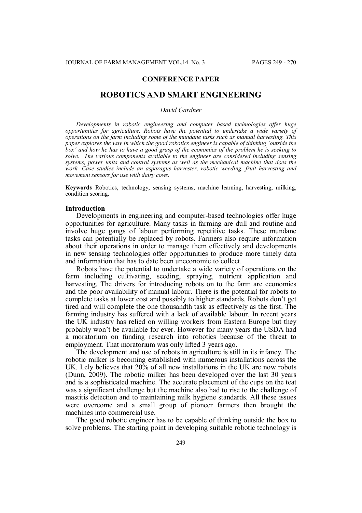# **CONFERENCE PAPER**

# **ROBOTICS AND SMART ENGINEERING**

# *David Gardner*

*Developments in robotic engineering and computer based technologies offer huge opportunities for agriculture. Robots have the potential to undertake a wide variety of operations on the farm including some of the mundane tasks such as manual harvesting. This paper explores the way in which the good robotics engineer is capable of thinking 'outside the box' and how he has to have a good grasp of the economics of the problem he is seeking to solve. The various components available to the engineer are considered including sensing systems, power units and control systems as well as the mechanical machine that does the work. Case studies include an asparagus harvester, robotic weeding, fruit harvesting and movement sensors for use with dairy cows.*

**Keywords** Robotics, technology, sensing systems, machine learning, harvesting, milking, condition scoring.

#### **Introduction**

Developments in engineering and computer-based technologies offer huge opportunities for agriculture. Many tasks in farming are dull and routine and involve huge gangs of labour performing repetitive tasks. These mundane tasks can potentially be replaced by robots. Farmers also require information about their operations in order to manage them effectively and developments in new sensing technologies offer opportunities to produce more timely data and information that has to date been uneconomic to collect.

Robots have the potential to undertake a wide variety of operations on the farm including cultivating, seeding, spraying, nutrient application and harvesting. The drivers for introducing robots on to the farm are economics and the poor availability of manual labour. There is the potential for robots to complete tasks at lower cost and possibly to higher standards. Robots don't get tired and will complete the one thousandth task as effectively as the first. The farming industry has suffered with a lack of available labour. In recent years the UK industry has relied on willing workers from Eastern Europe but they probably won't be available for ever. However for many years the USDA had a moratorium on funding research into robotics because of the threat to employment. That moratorium was only lifted 3 years ago.

The development and use of robots in agriculture is still in its infancy. The robotic milker is becoming established with numerous installations across the UK. Lely believes that 20% of all new installations in the UK are now robots (Dunn, 2009). The robotic milker has been developed over the last 30 years and is a sophisticated machine. The accurate placement of the cups on the teat was a significant challenge but the machine also had to rise to the challenge of mastitis detection and to maintaining milk hygiene standards. All these issues were overcome and a small group of pioneer farmers then brought the machines into commercial use.

The good robotic engineer has to be capable of thinking outside the box to solve problems. The starting point in developing suitable robotic technology is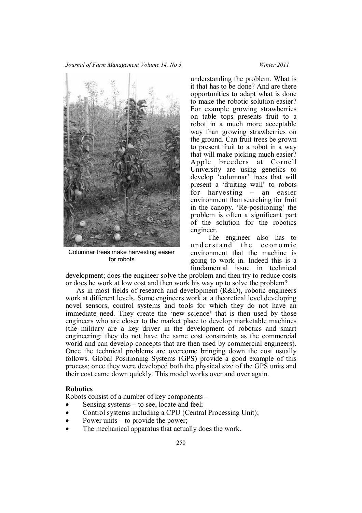*Journal of Farm Management Volume 14, No 3 Winter 2011*



Columnar trees make harvesting easier for robots

understanding the problem. What is it that has to be done? And are there opportunities to adapt what is done to make the robotic solution easier? For example growing strawberries on table tops presents fruit to a robot in a much more acceptable way than growing strawberries on the ground. Can fruit trees be grown to present fruit to a robot in a way that will make picking much easier? Apple breeders at Cornell University are using genetics to develop 'columnar' trees that will present a 'fruiting wall' to robots for harvesting – an easier environment than searching for fruit in the canopy. 'Re-positioning' the problem is often a significant part of the solution for the robotics engineer.

The engineer also has to understand the economic environment that the machine is going to work in. Indeed this is a fundamental issue in technical

development; does the engineer solve the problem and then try to reduce costs or does he work at low cost and then work his way up to solve the problem?

As in most fields of research and development (R&D), robotic engineers work at different levels. Some engineers work at a theoretical level developing novel sensors, control systems and tools for which they do not have an immediate need. They create the 'new science' that is then used by those engineers who are closer to the market place to develop marketable machines (the military are a key driver in the development of robotics and smart engineering: they do not have the same cost constraints as the commercial world and can develop concepts that are then used by commercial engineers). Once the technical problems are overcome bringing down the cost usually follows. Global Positioning Systems (GPS) provide a good example of this process; once they were developed both the physical size of the GPS units and their cost came down quickly. This model works over and over again.

# **Robotics**

Robots consist of a number of key components –

- Sensing systems to see, locate and feel;
- Control systems including a CPU (Central Processing Unit);
- Power units to provide the power;
- The mechanical apparatus that actually does the work.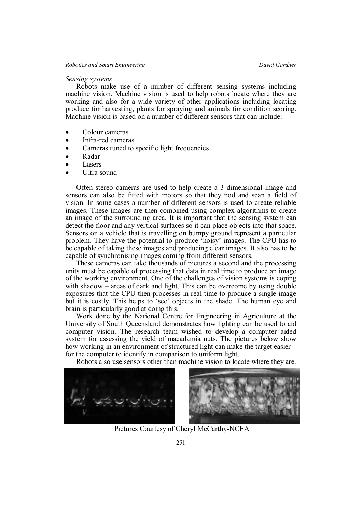#### *Sensing systems*

Robots make use of a number of different sensing systems including machine vision. Machine vision is used to help robots locate where they are working and also for a wide variety of other applications including locating produce for harvesting, plants for spraying and animals for condition scoring. Machine vision is based on a number of different sensors that can include:

- Colour cameras
- Infra-red cameras
- Cameras tuned to specific light frequencies
- Radar
- Lasers
- Ultra sound

Often stereo cameras are used to help create a 3 dimensional image and sensors can also be fitted with motors so that they nod and scan a field of vision. In some cases a number of different sensors is used to create reliable images. These images are then combined using complex algorithms to create an image of the surrounding area. It is important that the sensing system can detect the floor and any vertical surfaces so it can place objects into that space. Sensors on a vehicle that is travelling on bumpy ground represent a particular problem. They have the potential to produce 'noisy' images. The CPU has to be capable of taking these images and producing clear images. It also has to be capable of synchronising images coming from different sensors.

These cameras can take thousands of pictures a second and the processing units must be capable of processing that data in real time to produce an image of the working environment. One of the challenges of vision systems is coping with shadow – areas of dark and light. This can be overcome by using double exposures that the CPU then processes in real time to produce a single image but it is costly. This helps to 'see' objects in the shade. The human eye and brain is particularly good at doing this.

Work done by the National Centre for Engineering in Agriculture at the University of South Queensland demonstrates how lighting can be used to aid computer vision. The research team wished to develop a computer aided system for assessing the yield of macadamia nuts. The pictures below show how working in an environment of structured light can make the target easier for the computer to identify in comparison to uniform light.

Robots also use sensors other than machine vision to locate where they are.



Pictures Courtesy of Cheryl McCarthy-NCEA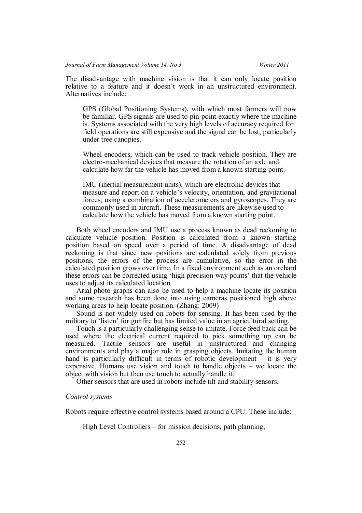The disadvantage with machine vision is that it can only locate position relative to a feature and it doesn't work in an unstructured environment. Alternatives include:

GPS (Global Positioning Systems), with which most farmers will now be familiar. GPS signals are used to pin-point exactly where the machine is. Systems associated with the very high levels of accuracy required for field operations are still expensive and the signal can be lost, particularly under tree canopies.

Wheel encoders, which can be used to track vehicle position. They are electro-mechanical devices that measure the rotation of an axle and calculate how far the vehicle has moved from a known starting point.

IMU (inertial measurement units), which are electronic devices that measure and report on a vehicle's velocity, orientation, and gravitational forces, using a combination of accelerometers and gyroscopes. They are commonly used in aircraft. These measurements are likewise used to calculate how the vehicle has moved from a known starting point.

Both wheel encoders and IMU use a process known as dead reckoning to calculate vehicle position. Position is calculated from a known starting position based on speed over a period of time. A disadvantage of dead reckoning is that since new positions are calculated solely from previous positions, the errors of the process are cumulative, so the error in the calculated position grows over time. In a fixed environment such as an orchard these errors can be corrected using 'high precision way points' that the vehicle uses to adjust its calculated location.

Arial photo graphs can also be used to help a machine locate its position and some research has been done into using cameras positioned high above working areas to help locate position. (Zhang: 2009)

Sound is not widely used on robots for sensing. It has been used by the military to 'listen' for gunfire but has limited value in an agricultural setting.

Touch is a particularly challenging sense to imitate. Force feed back can be used where the electrical current required to pick something up can be measured. Tactile sensors are useful in unstructured and changing environments and play a major role in grasping objects. Imitating the human hand is particularly difficult in terms of robotic development  $-$  it is very expensive. Humans use vision and touch to handle objects – we locate the object with vision but then use touch to actually handle it.

Other sensors that are used in robots include tilt and stability sensors.

#### *Control systems*

Robots require effective control systems based around a CPU. These include:

High Level Controllers – for mission decisions, path planning,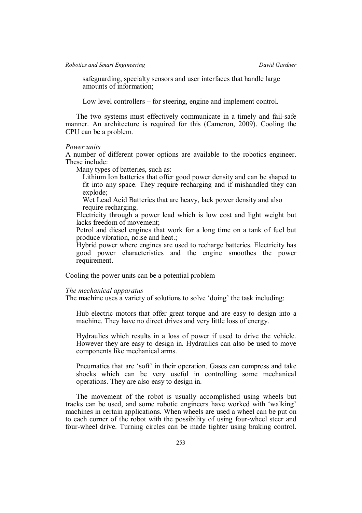safeguarding, specialty sensors and user interfaces that handle large amounts of information;

Low level controllers – for steering, engine and implement control.

The two systems must effectively communicate in a timely and fail-safe manner. An architecture is required for this (Cameron, 2009). Cooling the CPU can be a problem.

#### *Power units*

A number of different power options are available to the robotics engineer. These include:

Many types of batteries, such as:

Lithium Ion batteries that offer good power density and can be shaped to fit into any space. They require recharging and if mishandled they can explode;

Wet Lead Acid Batteries that are heavy, lack power density and also require recharging.

Electricity through a power lead which is low cost and light weight but lacks freedom of movement;

Petrol and diesel engines that work for a long time on a tank of fuel but produce vibration, noise and heat.;

Hybrid power where engines are used to recharge batteries. Electricity has good power characteristics and the engine smoothes the power requirement.

Cooling the power units can be a potential problem

#### *The mechanical apparatus*

The machine uses a variety of solutions to solve 'doing' the task including:

Hub electric motors that offer great torque and are easy to design into a machine. They have no direct drives and very little loss of energy.

Hydraulics which results in a loss of power if used to drive the vehicle. However they are easy to design in. Hydraulics can also be used to move components like mechanical arms.

Pneumatics that are 'soft' in their operation. Gases can compress and take shocks which can be very useful in controlling some mechanical operations. They are also easy to design in.

The movement of the robot is usually accomplished using wheels but tracks can be used, and some robotic engineers have worked with 'walking' machines in certain applications. When wheels are used a wheel can be put on to each corner of the robot with the possibility of using four-wheel steer and four-wheel drive. Turning circles can be made tighter using braking control.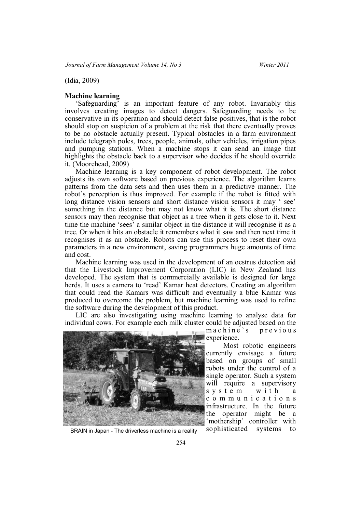(Idia, 2009)

# **Machine learning**

'Safeguarding' is an important feature of any robot. Invariably this involves creating images to detect dangers. Safeguarding needs to be conservative in its operation and should detect false positives, that is the robot should stop on suspicion of a problem at the risk that there eventually proves to be no obstacle actually present. Typical obstacles in a farm environment include telegraph poles, trees, people, animals, other vehicles, irrigation pipes and pumping stations. When a machine stops it can send an image that highlights the obstacle back to a supervisor who decides if he should override it. (Moorehead, 2009)

Machine learning is a key component of robot development. The robot adjusts its own software based on previous experience. The algorithm learns patterns from the data sets and then uses them in a predictive manner. The robot's perception is thus improved. For example if the robot is fitted with long distance vision sensors and short distance vision sensors it may ' see' something in the distance but may not know what it is. The short distance sensors may then recognise that object as a tree when it gets close to it. Next time the machine 'sees' a similar object in the distance it will recognise it as a tree. Or when it hits an obstacle it remembers what it saw and then next time it recognises it as an obstacle. Robots can use this process to reset their own parameters in a new environment, saving programmers huge amounts of time and cost.

Machine learning was used in the development of an oestrus detection aid that the Livestock Improvement Corporation (LIC) in New Zealand has developed. The system that is commercially available is designed for large herds. It uses a camera to 'read' Kamar heat detectors. Creating an algorithm that could read the Kamars was difficult and eventually a blue Kamar was produced to overcome the problem, but machine learning was used to refine the software during the development of this product.

LIC are also investigating using machine learning to analyse data for individual cows. For example each milk cluster could be adjusted based on the



BRAIN in Japan - The driverless machine is a reality sophisticated systems to

machine's previous experience.

Most robotic engineers currently envisage a future based on groups of small robots under the control of a single operator. Such a system will require a supervisory s y s t e m w i t h a c o m m u n i c a t i o n s infrastructure. In the future the operator might be a 'mothership' controller with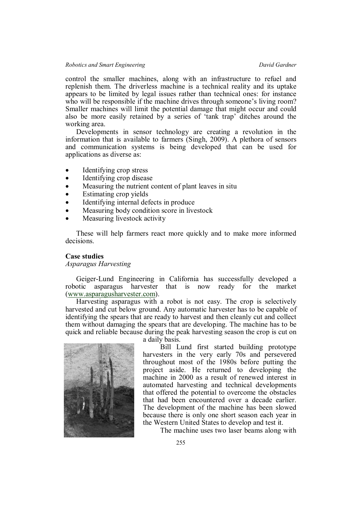## *Robotics and Smart Engineering* The *Robotics and Smart Engineering* David Gardner

control the smaller machines, along with an infrastructure to refuel and replenish them. The driverless machine is a technical reality and its uptake appears to be limited by legal issues rather than technical ones: for instance who will be responsible if the machine drives through someone's living room? Smaller machines will limit the potential damage that might occur and could also be more easily retained by a series of 'tank trap' ditches around the working area.

Developments in sensor technology are creating a revolution in the information that is available to farmers (Singh, 2009). A plethora of sensors and communication systems is being developed that can be used for applications as diverse as:

- Identifying crop stress
- Identifying crop disease
- Measuring the nutrient content of plant leaves in situ
- Estimating crop yields
- Identifying internal defects in produce
- Measuring body condition score in livestock
- Measuring livestock activity

These will help farmers react more quickly and to make more informed decisions.

# **Case studies**

*Asparagus Harvesting*

Geiger-Lund Engineering in California has successfully developed a robotic asparagus harvester that is now ready for the market (www.asparagusharvester.com).

Harvesting asparagus with a robot is not easy. The crop is selectively harvested and cut below ground. Any automatic harvester has to be capable of identifying the spears that are ready to harvest and then cleanly cut and collect them without damaging the spears that are developing. The machine has to be quick and reliable because during the peak harvesting season the crop is cut on



a daily basis.

Bill Lund first started building prototype harvesters in the very early 70s and persevered throughout most of the 1980s before putting the project aside. He returned to developing the machine in 2000 as a result of renewed interest in automated harvesting and technical developments that offered the potential to overcome the obstacles that had been encountered over a decade earlier. The development of the machine has been slowed because there is only one short season each year in the Western United States to develop and test it.

The machine uses two laser beams along with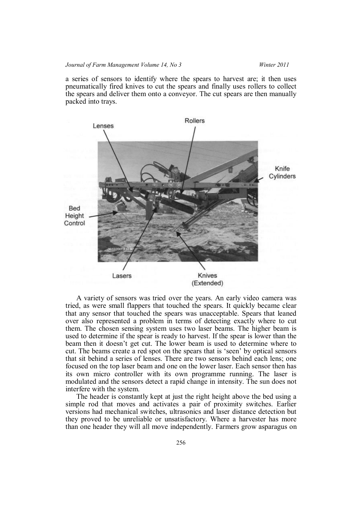#### *Journal of Farm Management Volume 14, No 3 Winter 2011*

a series of sensors to identify where the spears to harvest are; it then uses pneumatically fired knives to cut the spears and finally uses rollers to collect the spears and deliver them onto a conveyor. The cut spears are then manually packed into trays.



A variety of sensors was tried over the years. An early video camera was tried, as were small flappers that touched the spears. It quickly became clear that any sensor that touched the spears was unacceptable. Spears that leaned over also represented a problem in terms of detecting exactly where to cut them. The chosen sensing system uses two laser beams. The higher beam is used to determine if the spear is ready to harvest. If the spear is lower than the beam then it doesn't get cut. The lower beam is used to determine where to cut. The beams create a red spot on the spears that is 'seen' by optical sensors that sit behind a series of lenses. There are two sensors behind each lens; one focused on the top laser beam and one on the lower laser. Each sensor then has its own micro controller with its own programme running. The laser is modulated and the sensors detect a rapid change in intensity. The sun does not interfere with the system.

The header is constantly kept at just the right height above the bed using a simple rod that moves and activates a pair of proximity switches. Earlier versions had mechanical switches, ultrasonics and laser distance detection but they proved to be unreliable or unsatisfactory. Where a harvester has more than one header they will all move independently. Farmers grow asparagus on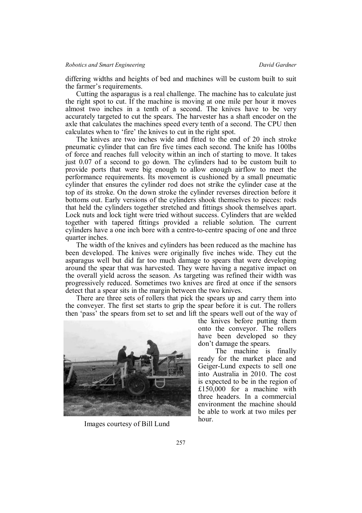differing widths and heights of bed and machines will be custom built to suit the farmer's requirements.

Cutting the asparagus is a real challenge. The machine has to calculate just the right spot to cut. If the machine is moving at one mile per hour it moves almost two inches in a tenth of a second. The knives have to be very accurately targeted to cut the spears. The harvester has a shaft encoder on the axle that calculates the machines speed every tenth of a second. The CPU then calculates when to 'fire' the knives to cut in the right spot.

The knives are two inches wide and fitted to the end of 20 inch stroke pneumatic cylinder that can fire five times each second. The knife has 100lbs of force and reaches full velocity within an inch of starting to move. It takes just 0.07 of a second to go down. The cylinders had to be custom built to provide ports that were big enough to allow enough airflow to meet the performance requirements. Its movement is cushioned by a small pneumatic cylinder that ensures the cylinder rod does not strike the cylinder case at the top of its stroke. On the down stroke the cylinder reverses direction before it bottoms out. Early versions of the cylinders shook themselves to pieces: rods that held the cylinders together stretched and fittings shook themselves apart. Lock nuts and lock tight were tried without success. Cylinders that are welded together with tapered fittings provided a reliable solution. The current cylinders have a one inch bore with a centre-to-centre spacing of one and three quarter inches.

The width of the knives and cylinders has been reduced as the machine has been developed. The knives were originally five inches wide. They cut the asparagus well but did far too much damage to spears that were developing around the spear that was harvested. They were having a negative impact on the overall yield across the season. As targeting was refined their width was progressively reduced. Sometimes two knives are fired at once if the sensors detect that a spear sits in the margin between the two knives.

There are three sets of rollers that pick the spears up and carry them into the conveyer. The first set starts to grip the spear before it is cut. The rollers then 'pass' the spears from set to set and lift the spears well out of the way of



the knives before putting them onto the conveyor. The rollers have been developed so they don't damage the spears.

The machine is finally ready for the market place and Geiger-Lund expects to sell one into Australia in 2010. The cost is expected to be in the region of £150,000 for a machine with three headers. In a commercial environment the machine should be able to work at two miles per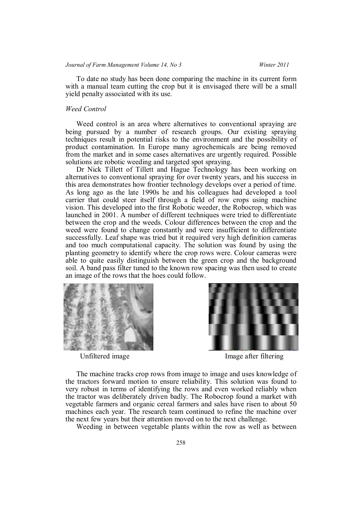To date no study has been done comparing the machine in its current form with a manual team cutting the crop but it is envisaged there will be a small yield penalty associated with its use.

#### *Weed Control*

Weed control is an area where alternatives to conventional spraying are being pursued by a number of research groups. Our existing spraying techniques result in potential risks to the environment and the possibility of product contamination. In Europe many agrochemicals are being removed from the market and in some cases alternatives are urgently required. Possible solutions are robotic weeding and targeted spot spraying.

Dr Nick Tillett of Tillett and Hague Technology has been working on alternatives to conventional spraying for over twenty years, and his success in this area demonstrates how frontier technology develops over a period of time. As long ago as the late 1990s he and his colleagues had developed a tool carrier that could steer itself through a field of row crops using machine vision. This developed into the first Robotic weeder, the Robocrop, which was launched in 2001. A number of different techniques were tried to differentiate between the crop and the weeds. Colour differences between the crop and the weed were found to change constantly and were insufficient to differentiate successfully. Leaf shape was tried but it required very high definition cameras and too much computational capacity. The solution was found by using the planting geometry to identify where the crop rows were. Colour cameras were able to quite easily distinguish between the green crop and the background soil. A band pass filter tuned to the known row spacing was then used to create an image of the rows that the hoes could follow.





Unfiltered image **Image** Image after filtering

The machine tracks crop rows from image to image and uses knowledge of the tractors forward motion to ensure reliability. This solution was found to very robust in terms of identifying the rows and even worked reliably when the tractor was deliberately driven badly. The Robocrop found a market with vegetable farmers and organic cereal farmers and sales have risen to about 50 machines each year. The research team continued to refine the machine over the next few years but their attention moved on to the next challenge.

Weeding in between vegetable plants within the row as well as between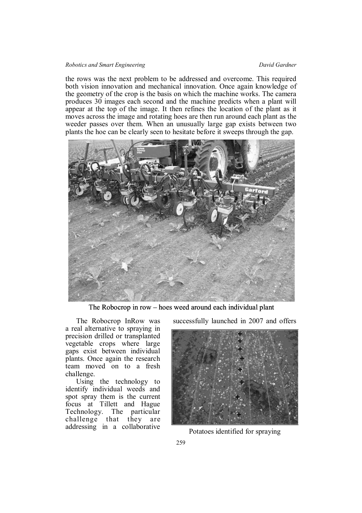## *Robotics and Smart Engineering* The *Robotics and Smart Engineering* David Gardner

the rows was the next problem to be addressed and overcome. This required both vision innovation and mechanical innovation. Once again knowledge of the geometry of the crop is the basis on which the machine works. The camera produces 30 images each second and the machine predicts when a plant will appear at the top of the image. It then refines the location of the plant as it moves across the image and rotating hoes are then run around each plant as the weeder passes over them. When an unusually large gap exists between two plants the hoe can be clearly seen to hesitate before it sweeps through the gap.



The Robocrop in row – hoes weed around each individual plant

a real alternative to spraying in precision drilled or transplanted vegetable crops where large gaps exist between individual plants. Once again the research team moved on to a fresh challenge.

Using the technology to identify individual weeds and spot spray them is the current focus at Tillett and Hague Technology. The particular challenge that they are addressing in a collaborative

The Robocrop InRow was successfully launched in 2007 and offers



Potatoes identified for spraying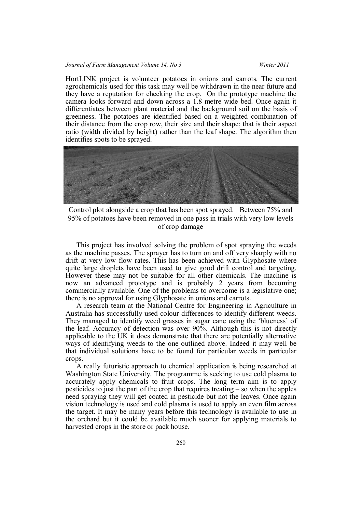## *Journal of Farm Management Volume 14, No 3 Winter 2011*

HortLINK project is volunteer potatoes in onions and carrots. The current agrochemicals used for this task may well be withdrawn in the near future and they have a reputation for checking the crop. On the prototype machine the camera looks forward and down across a 1.8 metre wide bed. Once again it differentiates between plant material and the background soil on the basis of greenness. The potatoes are identified based on a weighted combination of their distance from the crop row, their size and their shape; that is their aspect ratio (width divided by height) rather than the leaf shape. The algorithm then identifies spots to be sprayed.



Control plot alongside a crop that has been spot sprayed. Between 75% and 95% of potatoes have been removed in one pass in trials with very low levels of crop damage

This project has involved solving the problem of spot spraying the weeds as the machine passes. The sprayer has to turn on and off very sharply with no drift at very low flow rates. This has been achieved with Glyphosate where quite large droplets have been used to give good drift control and targeting. However these may not be suitable for all other chemicals. The machine is now an advanced prototype and is probably 2 years from becoming commercially available. One of the problems to overcome is a legislative one; there is no approval for using Glyphosate in onions and carrots.

A research team at the National Centre for Engineering in Agriculture in Australia has successfully used colour differences to identify different weeds. They managed to identify weed grasses in sugar cane using the 'blueness' of the leaf. Accuracy of detection was over 90%. Although this is not directly applicable to the UK it does demonstrate that there are potentially alternative ways of identifying weeds to the one outlined above. Indeed it may well be that individual solutions have to be found for particular weeds in particular crops.

A really futuristic approach to chemical application is being researched at Washington State University. The programme is seeking to use cold plasma to accurately apply chemicals to fruit crops. The long term aim is to apply pesticides to just the part of the crop that requires treating – so when the apples need spraying they will get coated in pesticide but not the leaves. Once again vision technology is used and cold plasma is used to apply an even film across the target. It may be many years before this technology is available to use in the orchard but it could be available much sooner for applying materials to harvested crops in the store or pack house.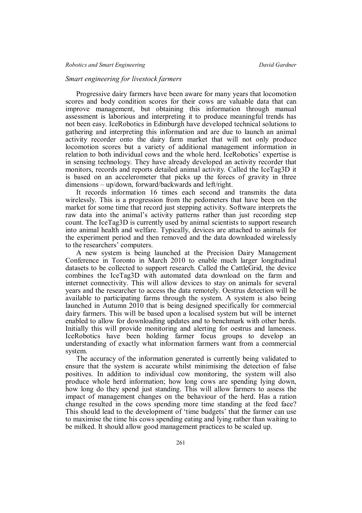# *Smart engineering for livestock farmers*

Progressive dairy farmers have been aware for many years that locomotion scores and body condition scores for their cows are valuable data that can improve management, but obtaining this information through manual assessment is laborious and interpreting it to produce meaningful trends has not been easy. IceRobotics in Edinburgh have developed technical solutions to gathering and interpreting this information and are due to launch an animal activity recorder onto the dairy farm market that will not only produce locomotion scores but a variety of additional management information in relation to both individual cows and the whole herd. IceRobotics' expertise is in sensing technology. They have already developed an activity recorder that monitors, records and reports detailed animal activity. Called the IceTag3D it is based on an accelerometer that picks up the forces of gravity in three dimensions – up/down, forward/backwards and left/right.

It records information 16 times each second and transmits the data wirelessly. This is a progression from the pedometers that have been on the market for some time that record just stepping activity. Software interprets the raw data into the animal's activity patterns rather than just recording step count. The IceTag3D is currently used by animal scientists to support research into animal health and welfare. Typically, devices are attached to animals for the experiment period and then removed and the data downloaded wirelessly to the researchers' computers.

A new system is being launched at the Precision Dairy Management Conference in Toronto in March 2010 to enable much larger longitudinal datasets to be collected to support research. Called the CattleGrid, the device combines the IceTag3D with automated data download on the farm and internet connectivity. This will allow devices to stay on animals for several years and the researcher to access the data remotely. Oestrus detection will be available to participating farms through the system. A system is also being launched in Autumn 2010 that is being designed specifically for commercial dairy farmers. This will be based upon a localised system but will be internet enabled to allow for downloading updates and to benchmark with other herds. Initially this will provide monitoring and alerting for oestrus and lameness. IceRobotics have been holding farmer focus groups to develop an understanding of exactly what information farmers want from a commercial system.

The accuracy of the information generated is currently being validated to ensure that the system is accurate whilst minimising the detection of false positives. In addition to individual cow monitoring, the system will also produce whole herd information; how long cows are spending lying down, how long do they spend just standing. This will allow farmers to assess the impact of management changes on the behaviour of the herd. Has a ration change resulted in the cows spending more time standing at the feed face? This should lead to the development of 'time budgets' that the farmer can use to maximise the time his cows spending eating and lying rather than waiting to be milked. It should allow good management practices to be scaled up.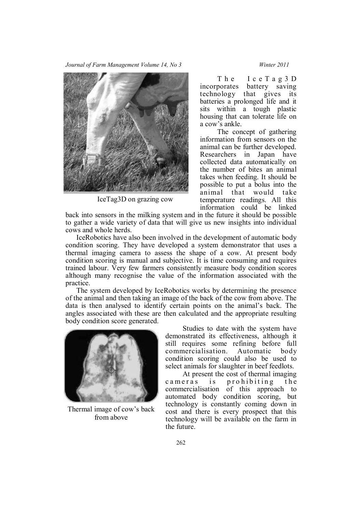*Journal of Farm Management Volume 14, No 3 Winter 2011*



IceTag3D on grazing cow

The Ice Tag 3 D incorporates battery saving technology that gives its batteries a prolonged life and it sits within a tough plastic housing that can tolerate life on a cow's ankle.

The concept of gathering information from sensors on the animal can be further developed. Researchers in Japan have collected data automatically on the number of bites an animal takes when feeding. It should be possible to put a bolus into the animal that would take temperature readings. All this information could be linked

back into sensors in the milking system and in the future it should be possible to gather a wide variety of data that will give us new insights into individual cows and whole herds.

IceRobotics have also been involved in the development of automatic body condition scoring. They have developed a system demonstrator that uses a thermal imaging camera to assess the shape of a cow. At present body condition scoring is manual and subjective. It is time consuming and requires trained labour. Very few farmers consistently measure body condition scores although many recognise the value of the information associated with the practice.

The system developed by IceRobotics works by determining the presence of the animal and then taking an image of the back of the cow from above. The data is then analysed to identify certain points on the animal's back. The angles associated with these are then calculated and the appropriate resulting body condition score generated.



Thermal image of cow's back from above

Studies to date with the system have demonstrated its effectiveness, although it still requires some refining before full commercialisation. Automatic body condition scoring could also be used to select animals for slaughter in beef feedlots.

At present the cost of thermal imaging cameras is prohibiting the commercialisation of this approach to automated body condition scoring, but technology is constantly coming down in cost and there is every prospect that this technology will be available on the farm in the future.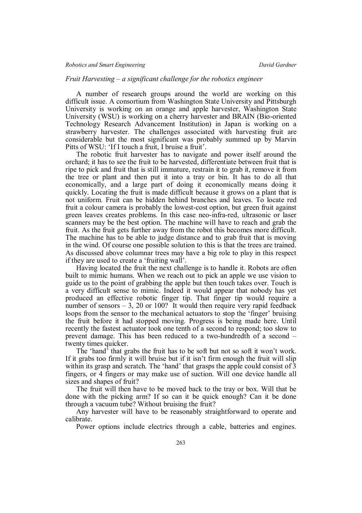# *Fruit Harvesting – a significant challenge for the robotics engineer*

A number of research groups around the world are working on this difficult issue. A consortium from Washington State University and Pittsburgh University is working on an orange and apple harvester, Washington State University (WSU) is working on a cherry harvester and BRAIN (Bio-oriented Technology Research Advancement Institution) in Japan is working on a strawberry harvester. The challenges associated with harvesting fruit are considerable but the most significant was probably summed up by Marvin Pitts of WSU: 'If I touch a fruit, I bruise a fruit'.

The robotic fruit harvester has to navigate and power itself around the orchard; it has to see the fruit to be harvested, differentiate between fruit that is ripe to pick and fruit that is still immature, restrain it to grab it, remove it from the tree or plant and then put it into a tray or bin. It has to do all that economically, and a large part of doing it economically means doing it quickly. Locating the fruit is made difficult because it grows on a plant that is not uniform. Fruit can be hidden behind branches and leaves. To locate red fruit a colour camera is probably the lowest-cost option, but green fruit against green leaves creates problems. In this case neo-infra-red, ultrasonic or laser scanners may be the best option. The machine will have to reach and grab the fruit. As the fruit gets further away from the robot this becomes more difficult. The machine has to be able to judge distance and to grab fruit that is moving in the wind. Of course one possible solution to this is that the trees are trained. As discussed above columnar trees may have a big role to play in this respect if they are used to create a 'fruiting wall'.

Having located the fruit the next challenge is to handle it. Robots are often built to mimic humans. When we reach out to pick an apple we use vision to guide us to the point of grabbing the apple but then touch takes over. Touch is a very difficult sense to mimic. Indeed it would appear that nobody has yet produced an effective robotic finger tip. That finger tip would require a number of sensors  $-3$ , 20 or 100? It would then require very rapid feedback loops from the sensor to the mechanical actuators to stop the 'finger' bruising the fruit before it had stopped moving. Progress is being made here. Until recently the fastest actuator took one tenth of a second to respond; too slow to prevent damage. This has been reduced to a two-hundredth of a second – twenty times quicker.

The 'hand' that grabs the fruit has to be soft but not so soft it won't work. If it grabs too firmly it will bruise but if it isn't firm enough the fruit will slip within its grasp and scratch. The 'hand' that grasps the apple could consist of 3 fingers, or 4 fingers or may make use of suction. Will one device handle all sizes and shapes of fruit?

The fruit will then have to be moved back to the tray or box. Will that be done with the picking arm? If so can it be quick enough? Can it be done through a vacuum tube? Without bruising the fruit?

Any harvester will have to be reasonably straightforward to operate and calibrate.

Power options include electrics through a cable, batteries and engines.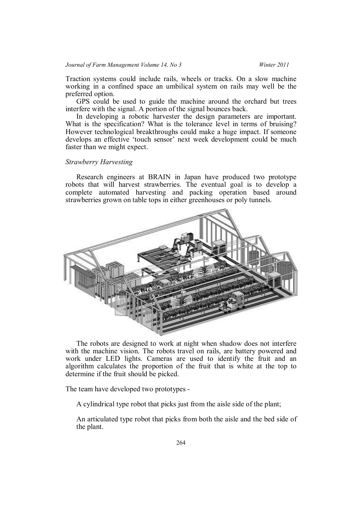Traction systems could include rails, wheels or tracks. On a slow machine working in a confined space an umbilical system on rails may well be the preferred option.

GPS could be used to guide the machine around the orchard but trees interfere with the signal. A portion of the signal bounces back.

In developing a robotic harvester the design parameters are important. What is the specification? What is the tolerance level in terms of bruising? However technological breakthroughs could make a huge impact. If someone develops an effective 'touch sensor' next week development could be much faster than we might expect.

## *Strawberry Harvesting*

Research engineers at BRAIN in Japan have produced two prototype robots that will harvest strawberries. The eventual goal is to develop a complete automated harvesting and packing operation based around strawberries grown on table tops in either greenhouses or poly tunnels.



The robots are designed to work at night when shadow does not interfere with the machine vision. The robots travel on rails, are battery powered and work under LED lights. Cameras are used to identify the fruit and an algorithm calculates the proportion of the fruit that is white at the top to determine if the fruit should be picked.

The team have developed two prototypes -

A cylindrical type robot that picks just from the aisle side of the plant;

An articulated type robot that picks from both the aisle and the bed side of the plant.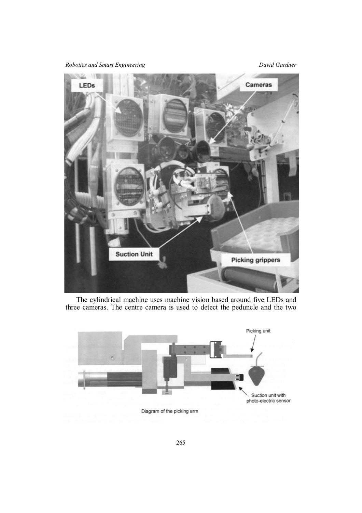*Robotics and Smart Engineering David Gardner*



The cylindrical machine uses machine vision based around five LEDs and three cameras. The centre camera is used to detect the peduncle and the two

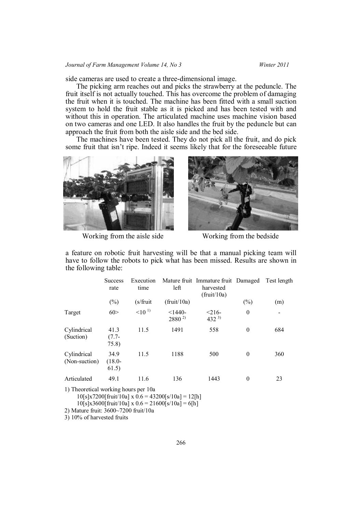# *Journal of Farm Management Volume 14, No 3 Winter 2011*

side cameras are used to create a three-dimensional image.

The picking arm reaches out and picks the strawberry at the peduncle. The fruit itself is not actually touched. This has overcome the problem of damaging the fruit when it is touched. The machine has been fitted with a small suction system to hold the fruit stable as it is picked and has been tested with and without this in operation. The articulated machine uses machine vision based on two cameras and one LED. It also handles the fruit by the peduncle but can approach the fruit from both the aisle side and the bed side.

The machines have been tested. They do not pick all the fruit, and do pick some fruit that isn't ripe. Indeed it seems likely that for the foreseeable future



Working from the aisle side Working from the bedside



a feature on robotic fruit harvesting will be that a manual picking team will have to follow the robots to pick what has been missed. Results are shown in the following table:

|                                      | <b>Success</b><br>rate     | Execution<br>time | left                                                  | Mature fruit Immature fruit Damaged<br>harvested<br>(friuit/10a) |          | Test length |
|--------------------------------------|----------------------------|-------------------|-------------------------------------------------------|------------------------------------------------------------------|----------|-------------|
|                                      | (%)                        | $(s$ fruit        | (friuit/10a)                                          |                                                                  | $(\%)$   | (m)         |
| Target                               | 60>                        | $10^{-1}$         | $< 1440 -$<br>$2880^{2}$                              | $3216-$<br>$432^{3}$                                             | $\theta$ |             |
| Cylindrical<br>(Suction)             | 41.3<br>$(7.7-$<br>75.8)   | 11.5              | 1491                                                  | 558                                                              | $\theta$ | 684         |
| Cylindrical<br>(Non-suction)         | 34.9<br>$(18.0 -$<br>61.5) | 11.5              | 1188                                                  | 500                                                              | $\theta$ | 360         |
| Articulated                          | 49.1                       | 11.6              | 136                                                   | 1443                                                             | $\theta$ | 23          |
| 1) Theoretical working hours per 10a |                            |                   | $10[s]x7200$ [fruit/10a] x 0.6 = 43200[s/10a] = 12[h] |                                                                  |          |             |

 $10[s]x3600$ [fruit/10a] x  $0.6 = 21600[s/10a] = 6[h]$ 

2) Mature fruit: 3600~7200 fruit/10a

3) 10% of harvested fruits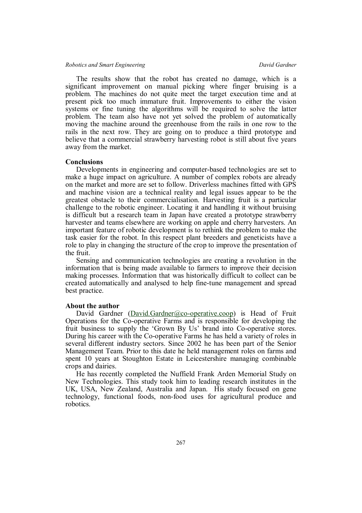# *Robotics and Smart Engineering* The *Robotics and Smart Engineering* David Gardner

The results show that the robot has created no damage, which is a significant improvement on manual picking where finger bruising is a problem. The machines do not quite meet the target execution time and at present pick too much immature fruit. Improvements to either the vision systems or fine tuning the algorithms will be required to solve the latter problem. The team also have not yet solved the problem of automatically moving the machine around the greenhouse from the rails in one row to the rails in the next row. They are going on to produce a third prototype and believe that a commercial strawberry harvesting robot is still about five years away from the market.

#### **Conclusions**

Developments in engineering and computer-based technologies are set to make a huge impact on agriculture. A number of complex robots are already on the market and more are set to follow. Driverless machines fitted with GPS and machine vision are a technical reality and legal issues appear to be the greatest obstacle to their commercialisation. Harvesting fruit is a particular challenge to the robotic engineer. Locating it and handling it without bruising is difficult but a research team in Japan have created a prototype strawberry harvester and teams elsewhere are working on apple and cherry harvesters. An important feature of robotic development is to rethink the problem to make the task easier for the robot. In this respect plant breeders and geneticists have a role to play in changing the structure of the crop to improve the presentation of the fruit.

Sensing and communication technologies are creating a revolution in the information that is being made available to farmers to improve their decision making processes. Information that was historically difficult to collect can be created automatically and analysed to help fine-tune management and spread best practice.

#### **About the author**

David Gardner (David.Gardner@co-operative.coop) is Head of Fruit Operations for the Co-operative Farms and is responsible for developing the fruit business to supply the 'Grown By Us' brand into Co-operative stores. During his career with the Co-operative Farms he has held a variety of roles in several different industry sectors. Since 2002 he has been part of the Senior Management Team. Prior to this date he held management roles on farms and spent 10 years at Stoughton Estate in Leicestershire managing combinable crops and dairies.

He has recently completed the Nuffield Frank Arden Memorial Study on New Technologies. This study took him to leading research institutes in the UK, USA, New Zealand, Australia and Japan. His study focused on gene technology, functional foods, non-food uses for agricultural produce and robotics.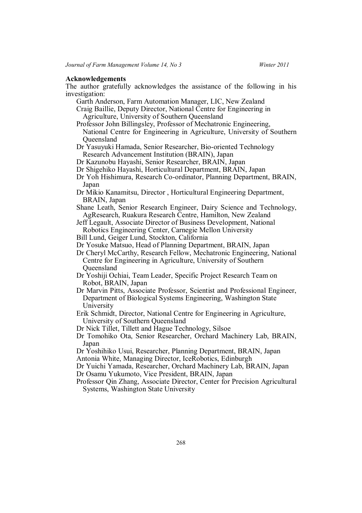# **Acknowledgements**

The author gratefully acknowledges the assistance of the following in his investigation:

Garth Anderson, Farm Automation Manager, LIC, New Zealand

Craig Baillie, Deputy Director, National Centre for Engineering in Agriculture, University of Southern Queensland

Professor John Billingsley, Professor of Mechatronic Engineering, National Centre for Engineering in Agriculture, University of Southern Queensland

Dr Yasuyuki Hamada, Senior Researcher, Bio-oriented Technology Research Advancement Institution (BRAIN), Japan

Dr Kazunobu Hayashi, Senior Researcher, BRAIN, Japan

Dr Shigehiko Hayashi, Horticultural Department, BRAIN, Japan

- Dr Yoh Hishimura, Research Co-ordinator, Planning Department, BRAIN, Japan
- Dr Mikio Kanamitsu, Director , Horticultural Engineering Department, BRAIN, Japan
- Shane Leath, Senior Research Engineer, Dairy Science and Technology, AgResearch, Ruakura Research Centre, Hamilton, New Zealand

Jeff Legault, Associate Director of Business Development, National Robotics Engineering Center, Carnegie Mellon University

Bill Lund, Geiger Lund, Stockton, California

Dr Yosuke Matsuo, Head of Planning Department, BRAIN, Japan

- Dr Cheryl McCarthy, Research Fellow, Mechatronic Engineering, National Centre for Engineering in Agriculture, University of Southern Queensland
- Dr Yoshiji Ochiai, Team Leader, Specific Project Research Team on Robot, BRAIN, Japan
- Dr Marvin Pitts, Associate Professor, Scientist and Professional Engineer, Department of Biological Systems Engineering, Washington State University

Erik Schmidt, Director, National Centre for Engineering in Agriculture, University of Southern Queensland

- Dr Nick Tillet, Tillett and Hague Technology, Silsoe
- Dr Tomohiko Ota, Senior Researcher, Orchard Machinery Lab, BRAIN, Japan

Dr Yoshihiko Usui, Researcher, Planning Department, BRAIN, Japan Antonia White, Managing Director, IceRobotics, Edinburgh

Dr Yuichi Yamada, Researcher, Orchard Machinery Lab, BRAIN, Japan

Dr Osamu Yukumoto, Vice President, BRAIN, Japan

Professor Qin Zhang, Associate Director, Center for Precision Agricultural Systems, Washington State University